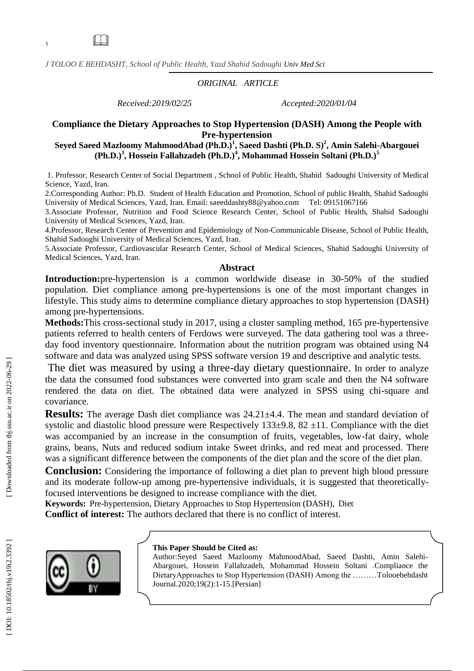*J TOLOO E BEHDASHT, School of Public Health , Yazd Shahid Sadoughi Univ Med Sci*

## *ORIGINAL ARTICLE*

*Received:2019/02/25 Accepted:2020/01/04*

# **Compliance the Dietary Approaches to Stop Hypertension (DASH) Among the People with Pre -hypertension**

**Seyed Saeed Mazloomy MahmoodAbad (Ph.D.) 1 , Sae ed Dashti (Ph.D. S) 2 , Amin Salehi -Abargouei (Ph.D.) 3 , Hossein Fallahzadeh (Ph.D.) 4 , Mohammad Hossein Soltani (Ph.D.) 5**

1. Professor, Research Center of Social Department , School of Public Health, Shahid Sadoughi University of Medical Science, Yazd, Iran.<br>2.Corresponding Author: Ph.D. Student of Health Education and Promotion, School of public Health, Shahid Sadoughi

University of Medical Sciences, Yazd, Iran. Email: saeeddashty88@yahoo.com Tel: 09151067166

3.Associate Professor, Nutrition and Food Science Research Center, School of Public Health, Shahid Sadoughi University of Medical Sciences, Yazd, Iran .

4.Professor, Research Center of Prevention and Epidemiology of Non -Communicable Disease, School of Public Health, Shahid Sadoughi University of Medical Sciences, Yazd, Iran .

5.Associate Professor, Cardiovascular Research Center, School of Medical Sciences, Shahid Sadoughi University of Medical Sciences, Yazd, Iran .

#### **Abstract**

Introduction: pre-hypertension is a common worldwide disease in 30-50% of the studied population. Diet compliance among pre -hypertensions is one of the most important changes in lifestyle. This study aims to determine compliance dietary approaches to stop hypertension (DASH) among pre -hypertensions .

**Methods:**This cross -sectional study in 2017, using a cluster sampling method, 165 pre -hypertensive patients referred to health centers of Ferdows were surveyed. The data gathering tool was a threeday food inventory questionnaire. Information about the nutrition program was obtained using N4 software and data was analyzed using SPSS software version 19 and descriptive and analytic tests.

The diet was measured by using a three -day dietary questionnaire. In order to analyze the data the consumed food substances were converted into gram scale and then the N4 software rendered the data on diet. The obtained data were analyzed in SPSS using chi -square and covariance.

**Results:** The average Dash diet compliance was 24.21±4.4. The mean and standard deviation of systolic and diastolic blood pressure were Respectively  $133\pm9.8$ ,  $82 \pm11$ . Compliance with the diet was accompanied by an increase in the consumption of fruits, vegetables, low -fat dairy, whole grains, beans, Nuts and reduced sodium intake Sweet drinks, and red meat and processed. There was a significant difference between the components of the diet plan and the score of the diet plan.

**Conclusion:** Considering the importance of following a diet plan to prevent high blood pressure and its moderate follow -up among pre -hypertensive individuals, it is suggested that theoretically focused interventions be designed to increase compliance with the diet.

**Keywords:** Pre -hypertension, Dietary Approaches to Stop Hypertension (DASH), Diet **Conflict of interest:** The authors declared that there is no conflict of interest.



#### **This Paper Should be Cited as:**

Author :Seyed Saeed Mazloomy MahmoodAbad, Sae ed Dashti, Amin Salehi - Abargouei, Hossein Fallahzadeh, Mohammad Hossein Soltani .Compliance the DietaryApproaches to Stop Hypertension (DASH) Among the ………Tolooebehdasht Journal.2020;1 9 ( 2): 1 -15.[Persian ]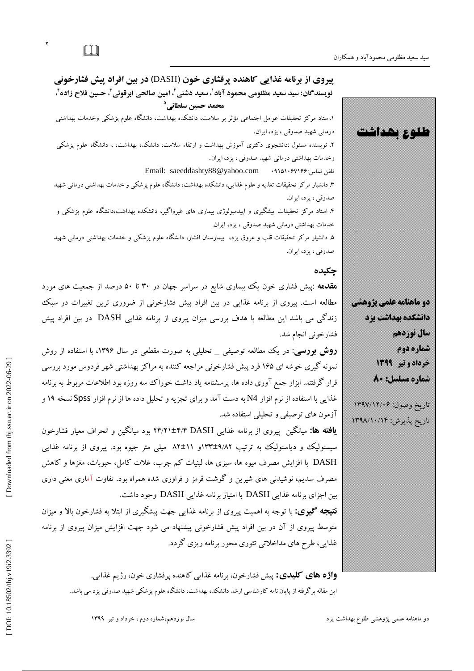**طلوع بهداشت** 

۵. دانشیار مرکز تحقیقات قلب و عروق یزد، بیمارستان افشار، دانشگاه علوم پزشکی و خدمات بهداشتی درمانی شهید صدوقی ، یز د، ایران.

# **چکیدٌ**

هقدمه :پیش فشاری خون یک بیماری شایع در سراسر جهان در ۳۰ تا ۵۰ درصد از جمعیت های مورد مطالعه است. پیروی از برنامه غذایی در بین افراد پیش فشارخونی از ضروری ترین تغییرات در سبک زندگی می باشد این مطالعه با هدف بررسی میزان پیروی از برنامه غذایی DASH در بین افراد پیش فشارخونی انجام شد.

**روش بررسی**: در یک مطالعه توصیفی \_ تحلیلی به صورت مقطعی در سال ۱۳۹۶، با استفاده از روش نمونه گیری خوشه ای ۱۶۵ فرد پیش فشارخونی مراجعه کننده به مراکز بهداشتی شهر فردوس مورد بررسی قرار گرفتند. ابزار جمع آوری داده ها، پرسشنامه یاد داشت خوراک سه روزه بود اطلاعات مربوط به برنامه غذایی با استفاده از نرم افزار N4 به دست آمد و برای تجزیِه و تحلیل داده ها از نرم افزار Spss نسخه ۱۹ و آزمون های توصیفی و تحلیلی استفاده شد.

**یافته ها:** میانگین پیروی از برنامه غذایی ۲۴/۲۱±۴/۴ DASH بود میانگین و انحراف معیار فشارخون سیستولیک و دیاستولیک به ترتیب ۹/۸۲±۱۳۳و ۸۲±۱۸ میلی متر جیوه بود. پیروی از برنامه غذایی DASH با افزایش مصرف میوه ها، سبزی ها، لبنیات کم چرب، غلات کامل، حبوبات، مغزها و کاهش مصرف سدیم، نوشیدنی های شیرین و گوشت قرمز و فراوری شده همراه بود. تفاوت آماری معنی داری بین اجزای برنامه غذایی DASH با امتیاز برنامه غذایی DASH وجود داشت.

<mark>نتیجِه گیوی:</mark> با توجِه به اهمیت پیروی از برنامه غذایی جهت پیشگیری از ابتلا به فشارخون بالا و میزان متوسط پیروی از آن در بین افراد پیش فشارخونی پیشنهاد می شود جهت افزایش میزان پیروی از برنامه غذایی، طرح های مداخلاتی تئوری محور برنامه ریزی گردد.

**واژه های کلیدی:** پیش فشارخون، برنامه غذایی کاهنده پرفشاری خون، رژیم غذایی. این مقاله بر گرفته از پایان نامه کارشناسی ارشد دانشکده بهداشت، دانشگاه علوم پزشکی شهید صدوقی یزد می باشد.





تاریخ وصول: ۱۳۹۷/۱۲/۰۶ تاریخ پدیرش: ۱۳۹۸/۱۰/۱۴۹۸

۲<br>ا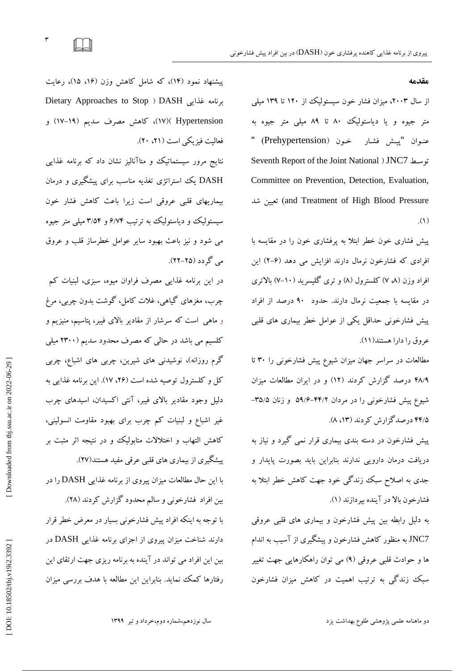$\Box$ 

٣

#### **مقدمٍ**

از سال ۲۰۰۳، میزان فشار خون سیستولیک از ۱۲۰ تا ۱۳۹ میلی متر جیوه و یا دیاستولیک ۸۰ تا ۸۹ میلی متر جیوه به عنـوان "پیــش فشـار خـون (Prehypertension) " Seventh Report of the Joint National ( JNC تَعـظ 7 Committee on Prevention, Detection, Evaluation, تعیین شد (and Treatment of High Blood Pressure  $\cdot$ (1)

پیش فشاری خون خطر ابتلا به پرفشاری خون را در مقایسه با افرادی که فشارخون نرمال دارند افزایش می دهد (۴–۲) این افراد وزن (۷ ۷) کلسترول (۸) و تری کلیسرید (۱۰–۷) بالاتری در مقایسه با جمعیت نرمال دارند. حدود ۹۰ درصد از افراد پیش فشارخونی حداقل یکی از عوامل خطر بیماری های قلبی عروق را دارا هستند(١١).

مطالعات در سراسر جهان میزان شیوع پیش فشارخونی را ۳۰ تا ۴۸/۹ درصد گزارش گردند (۱۲) و در ایران مطالعات میزان شیوع پیش فشارخونی را در مردان ۴۴/۲–۵۹/۶ و زنان ۳۵/۵– ۴۴/۵ درصد گزارش کردند (۱۳، ۸).

پیش فشارخون در دسته بندی بیماری قرار نمی گیرد و نیاز به دریافت درمان دارویی ندارند بنابراین باید بصورت پایدار و جدی به اصلاح سبک زندگی خود جهت کاهش خطر ابتلا به فشارخُون بالا در آینده بپردازند (۱).

به دلیل رابطه بین پیش فشارخون و بیماری های قلبی عروقی JNC7 به منظور کاهش فشارخون و پیشگیری از آسیب به اندام ها و حوادث قلبی عروقی (۹) می توان راهکارهایی جهت تغییر سبک زندگی به ترتیب اهمیت در کاهش میزان فشارخون

پیشنهاد نمود (۱۴)، که شامل کاهش وزن (۱۶، ۱۵)، رعایت Dietary Approaches to Stop ثزًبهِ غذایی DASH( ٍ )17 Hypertension() 17)، وبّؼ هصزف عذین )-19 فعالیت فیزیکی است (۲۱، ۲۰).

نتایج مرور سیستماتیک و متاآنالیز نشان داد که برنامه غدایی DASH یک استراتژی تغذیه مناسب برای پیشگیری و درمان بیماریهای قلبی عروقی است زیرا باعث کاهش فشار خون سیستولیک و دیاستولیک به ترتیب ۶/۷۴ و ۳/۵۴ میلی متر جیوه می شود و نیز باعث بهبود سایر عوامل خطرساز قلب و عروق می گردد (۲۵–۲۲).

در این برنامه غذایی مصرف فراوان میوه، سبزی، لبنیات کم چرب، مغزهای گیاهی، غلات کامل، گوشت بدون چربی، مرغ و ماهی است که سرشار از مقادیر بالای فیبر، پتاسیم، منیزیم و کلسیم می باشد در حالی که مصرف محدود سدیم (۲۳۰۰ میلی گرم روزانه)، نوشیدنی های شیرین، چربی های اشباع، چربی كل و كلسترول توصیه شده است (۲۶، ۱۷). این برنامه غذایی به دلیل وجود مقادیر بالای فیبر، آنتی اکسیدان، اسیدهای چرب غیر اشباع و لبنیات کم چرب برای بهبود مقاومت انسولینی، کاهش التهاب و اختلالات متابولیک و در نتیجه اثر مثبت بر پیشگیری از بیماری های قلبی عرقی مفید هستند(۲۷). با این حال مطالعات میزان پیروی از برنامه غذایی DASH را در<br>بین افراد فشارخونی و سالم محدود گزارش کردند (۲۸). با توجه به اینکه افراد پیش فشارخونی بسیار در معرض خطر قرار دارند شناخت میزان پیروی از اجزای برنامه غذایی DASH در بین این افراد می تواند در آینده به برنامه ریزی جهت ارتقای این رفتارها كمك نماید. بنابراین این مطالعه با هدف بررسی میزان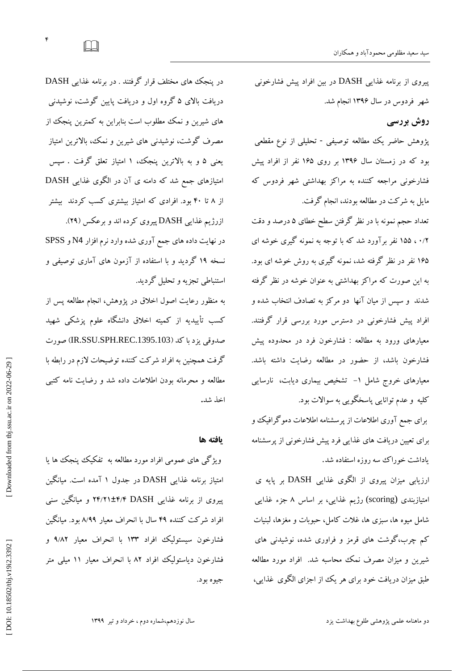در پنجک های مختلف قرار گرفتند . در برنامه غذایی DASH دریافت بالای ۵ گروه اول و دریافت پایین گوشت، نوشیدنی های شیرین و نمک مطلوب است بنابراین به کمترین پنجک از مصرف گوشت، نوشیدنی های شیرین و نمک، بالاترین امتیاز یعنی ۵ و به بالاترین پنجک، ۱ امتیاز تعلق گرفت . سپس امتیازهای جمع شد که دامنه ی آن در الگوی غذایی DASH از ۸ تا ۴۰ بود. افرادی که امتیاز بیشتری کسب کردند بیشتر

ازرژیم غذایی DASH پیروی کرده اند و برعکس (۲۹). در نهایت داده های جمع آوری شده وارد نرم افزار N4 و SPSS نسخه ۱۹ گردید و با استفاده از آزمون های آماری توصیفی و استنباطی تجزیه و تحلیل گردید.

به منظور رعایت اصول اخلاق در پژوهش، انجام مطالعه پس از کسب تأییدیِه از کمیته اخلاق دانشگاه علوم پزشکی شهید صدوقی یزد با کد (IR.SSU.SPH.REC.1395.103) صورت گرفت همچنین به افراد شرکت کننده توضیحات لازم در رابطه با مطالعه و محرمانه بودن اطلاعات داده شد و رضایت نامه کتب<u>ی</u><br>اخذ شد.

#### **یافتٍ َا**

ویژگی های عمومی افراد مورد مطالعه به تفکیک پنجک ها یا امتیاز برنامه غذایی DASH در جدول ۱ آمده است. میانگین پیروی از برنامه غذایی ۲۴/۲۱±۴/۴ DASH و میانگین سنی افراد شرکت کننده ۴۹ سال با انحراف معیار ۸/۹۹ بود. میانگین فشارخُون سیستولیک افراد ۱۳۳ با انحراف معیار ۹/۸۲ و فشارخون دیاستولیک افراد ۸۲ با انحراف معیار ۱۱ میلی متر جیو ه بو د.

پیروی از برنامه غذایی DASH در بین افراد پیش فشارخونی شهر فردوس در سال ۱۳۹۶ انجام شد.

# **ريش بزرسی**

پژوهش حاضر یک مطالعه توصیفی - تحلیلی از نوع مقطعی بود که در زمستان سال ۱۳۹۶ بر روی ۱۶۵ نفر از افراد پیش فشارخونی مراجعه کننده به مراکز بهداشتی شهر فردوس که مایل به شرکت در مطالعه بودند، انجام گرفت.

نعداد حجم نمونه با در نظر کرفتن سطح خطای ۵ درصد و دقت ۰/۲ ، ۱۵۵ نفر براورد شد که با توجه به نمونه کیری خوشه ای ۱۶۵ نفر در نظر گرفته شد، نمونه گیری به روش خوشه ای بود. به این صورت که مراکز بهداشتی به عنوان خوشه در نظر گرفته شدند و سپس از میان آنها دو مرکز به تصادف انتخاب شده و افراد پیش فشارخونی در دسترس مورد بررسی قرار گرفتند. معیارهای ورود به مطالعه : فشارخون فرد در محدوده پیش فشارخون باشد، از حضور در مطالعه رضایت داشته باشد. معیارهای خروج شامل ۱– تشخیص بیماری دیابت، نارسایی کلیه و عدم توانایی پاسخگویی به سوالات بود.

برای جمع آوری اطلاعات از پرسشنامه اطلاعات دموگرافیک و برای تعیین دریافت های غذایی فرد پیش فشارخونی از پرسشنامه<br>یاداشت خوراک سه روزه استفاده شد.<br>ارزیابی میزان پیروی از الگوی غذایی DASH بر پایه ی

امتیازبندی (scoring) رژیم غذایی، بر اساس ۸ جزء غذایی شامل میوه ها، سبزی ها، غلات کامل، حبوبات و مغزها، لبنیات کم چرب،کوشت های قرمز و فراوری شده، نوشیدنی های شیرین و میزان مصرف نمک محاسبه شد. افراد مورد مطالعه طبق میزان دریافت خود برای هر یک از اجزای الگوی غذایی،

[Downloaded from tbj.ssu.ac.ir on 2022-06-29]

 $\Box$ 

۴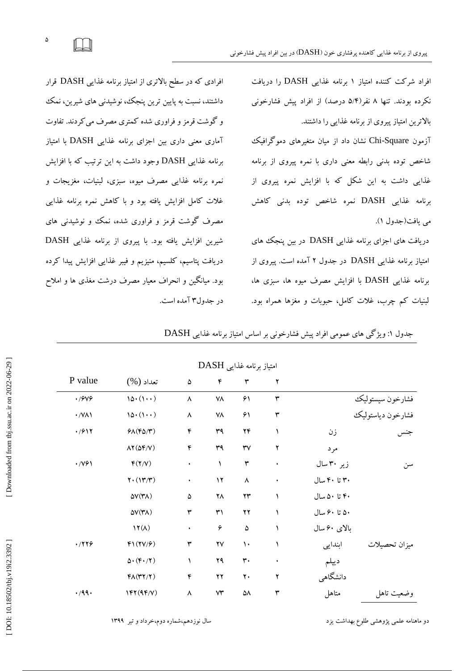فراد شرکت کننده امتیاز ۱ برنامه غذای<sub>ک</sub> DASH را دریافت نگرده بودند. تنها ۸ نفر(۵/۴ درصد) از افراد پیش فشارخونی بالاترین امتیاز پیروی از برنامه غذایی را داشتند.

آزمون Chi-Square نشان داد از میان متغیرهای دموگرافیک شاخص توده بدنی رابطه معنی داری با نمره پیروی از برنامه غذایی داشت به این شکل که با افزایش نمره پیروی از برنامه غذایی DASH نمره شاخص توده بدنی کاهش<br>می یافت(جدول ۱).

دریافت های اجزای برنامه غذایی DASH در بین پنجک های امتیاز برنامه غذایی DASH در جدول ۲ آمده است. پیروی از برنامه غذایی DASH با افزایش مصرف میوه ها، سبزی ها، لبنیات کم چرب، غلات کامل، حبوبات و مغزها همراه بود.

افرادی که در سطح بالاتری از امتیاز برنامه غذایی DASH قرار داشتند، نسبت به پایین ترین پنجک، نوشیدنی های شیرین، نمک و گوشت قرمز و فراوری شده کمتری مصرف می کردند. تفاوت آماری معنی داری بین اجزای برنامه غذایی DASH با امتیاز برنامه غذایی DASH وجود داشت به این ترتیب که با افزایش نمره برنامه غذایی مصرف میوه، سبزی، لبنیات، مغزیجات و غلات کامل افزایش یافته بود و با کاهش نمره برنامه غذایی مصرف گوشت قرمز و فراوری شده، نمک وو نوشیدنی های شیرین افزایش یافته بود. با پیروی از برنامه غذایی DASH دریافت پتاسیم، کلسیم، منیزیم و فیبر غذایی افزایش پیدا کرده بود. میانگین و انحراف معیار مصرف درشت مغذی ها و املاح در جدول۳ آمده است.

جدول ۱: ویژگی های عمومی افراد پیش فشارخونی بر اساس امتیاز برنامه غذایی DASH

| امتیار بر نامه عدایی DASH |                                               |                |                        |                        |                      |              |                   |  |  |  |
|---------------------------|-----------------------------------------------|----------------|------------------------|------------------------|----------------------|--------------|-------------------|--|--|--|
| P value                   | $(\%)$ تعداد                                  | $\pmb{\Delta}$ | ۴                      | ٣                      | ۲                    |              |                   |  |  |  |
| $\cdot$ /9 $\vee$ 9       | $10 \cdot (1 \cdot \cdot)$                    | ٨              | ۷۸                     | ۶۱                     | $\mathbf{\breve{r}}$ |              | فشارخون سيستوليك  |  |  |  |
| $\cdot$ /VA)              | $10 \cdot (1 \cdot \cdot)$                    | ٨              | ۷۸                     | ۶۱                     | $\mathbf{\breve{r}}$ |              | فشارخون دياستوليك |  |  |  |
| .7917                     | $P\Lambda$ (F $\Delta$ /۳)                    | $\mathfrak{f}$ | ٣٩                     | $\mathbf{Y}\mathbf{F}$ |                      | زن           | جنس               |  |  |  |
|                           | $\Lambda$ Y ( $\Delta$ F/V)                   | ۴              | ٣٩                     | $\forall \forall$      | ۲                    | مرد          |                   |  |  |  |
| $\cdot$ /YG $\lambda$     | f(Y/V)                                        | $\bullet$      |                        | $\mathbf{\breve{r}}$   | $\bullet$            | زیر ۳۰ سال   | سن                |  |  |  |
|                           | $Y \cdot (1Y/Y)$                              | $\bullet$      | $\mathcal{N}$          | $\pmb{\wedge}$         | $\bullet$            | ۳۰ تا ۴۰ سال |                   |  |  |  |
|                           | $\Delta V(\Upsilon\Lambda)$                   | ۵              | ۲٨                     | $\Upsilon\Upsilon$     |                      | ۴۰ تا ۵۰ سال |                   |  |  |  |
|                           | $\Delta V(\Upsilon\Lambda)$                   | ٣              | ٣١                     | $\gamma\gamma$         |                      | ۵۰ تا ۶۰ سال |                   |  |  |  |
|                           | $1Y(\Lambda)$                                 | ٠              | ۶                      | $\Delta$               |                      | بالای ۶۰ سال |                   |  |  |  |
| .719                      | $f(1Y/\mathcal{F})$                           | ٣              | $\mathsf{Y}\mathsf{V}$ | $\mathcal{L}$          |                      | ابندایی      | ميزان تحصيلات     |  |  |  |
|                           | $\Delta\cdot(\mathfrak{f}\cdot/\mathfrak{k})$ |                | ۲۹                     | $\mathbf{r}$ .         | $\bullet$            | ديپلم        |                   |  |  |  |
|                           | $f\Lambda(TY/Y)$                              | ۴              | $\gamma\gamma$         | ٢٠                     | ۲                    | دانشگاهی     |                   |  |  |  |
| .49.                      | $\mathcal{N}(\mathcal{N})$                    | ٨              | $\forall \Upsilon$     | ۵۸                     | ٣                    | متاهل        | وضعيت تاهل        |  |  |  |

اهتیبس ثزًبهِ غذایی DASH

سال نوزدهم،شماره دوم،خرداد و تیر ۱۳۹۹

دو ماهنامه علمی پژوهشی طلوِع بهداشت یزد

 $\Delta$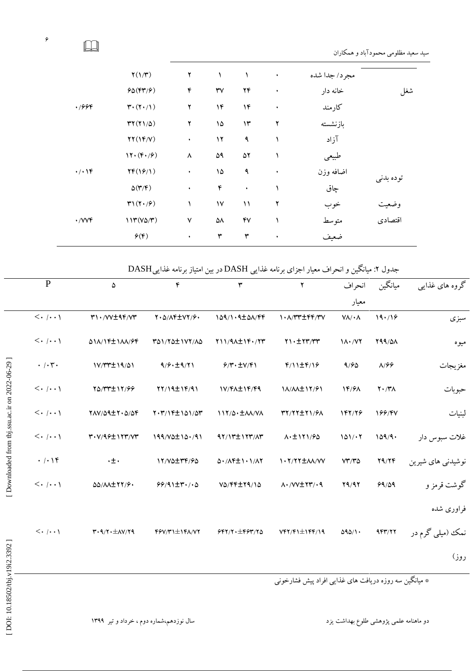|                  | $\Upsilon(1/\Upsilon)$                             | ٢ |                        | ١             | $\bullet$ | مجر د/ جدا شده |           |  |
|------------------|----------------------------------------------------|---|------------------------|---------------|-----------|----------------|-----------|--|
|                  | $60(FY/\mathcal{F})$                               | ۴ | $\mathsf{r}\mathsf{v}$ | ۲۴            | $\bullet$ | خانه دار       | شغل       |  |
| .7999            | $\mathbf{r} \cdot (\mathbf{Y} \cdot / \mathbf{1})$ | ٢ | ۱۴                     | ۱۴            | ٠         | كارمند         |           |  |
|                  | $YY(Y1/\Delta)$                                    | ٢ | ۱۵                     | $\mathcal{N}$ | ۲         | بازنشسته       |           |  |
|                  | YY(1F/V)                                           | ٠ | ۱۲                     | ٩             |           | آزاد           |           |  |
|                  | $17.$ ( $F.$ / $9)$                                | ٨ | ۵۹                     | ۵۲            |           | طبيعي          |           |  |
| $\cdot/\cdot$ \F | YF(YY)                                             | ٠ | ۱۵                     | ٩             | $\bullet$ | اضافه وزن      | توده بدني |  |
|                  | $\Delta(\Upsilon/\Upsilon)$                        | ٠ | ۴                      | $\bullet$     |           | چاق            |           |  |
|                  | $\mathbf{r}\mathbf{1}(\mathbf{Y}\cdot\mathbf{1})$  | ١ | $\mathsf{V}\mathsf{V}$ | ۱۱            | ۲         | خوب            | وضعيت     |  |
| $\cdot$ /VVF     | $117(Y\Delta/\Upsilon)$                            | ٧ | ۵۸                     | ۴٧            |           | متوسط          | اقتصادى   |  |
|                  | $\mathcal{P}(\mathfrak{F})$                        | ٠ | ٣                      | ٣             | ٠         | ضعيف           |           |  |

جدول ۲: میانگین و انحراف معیار اجزای برنامه غذایی DASH در بین امتیاز برنامه غذاییDASH

| گروه های غذایبی                        | ميانگين              | انحراف                   | $\mathbf Y$                                           | $\mathbf{\breve{r}}$                  | $\mathfrak{r}$                                | ۵                                                                                       | $\mathbf{P}$                                                                     |                                              |  |  |  |  |
|----------------------------------------|----------------------|--------------------------|-------------------------------------------------------|---------------------------------------|-----------------------------------------------|-----------------------------------------------------------------------------------------|----------------------------------------------------------------------------------|----------------------------------------------|--|--|--|--|
|                                        |                      | معيار                    |                                                       |                                       |                                               |                                                                                         |                                                                                  |                                              |  |  |  |  |
| سبزى                                   | 19.19                | $V\Lambda/\cdot \Lambda$ | 1. A/٣٣ ± ۴۴/٣٧                                       | $109/1.9 \pm 0 \Lambda/\gamma \gamma$ | $Y \cdot \Delta/\Lambda f \pm V Y / P$        | $r \cdot y \cdot \pm 4r y$                                                              | $\langle \cdot   \cdot \cdot \rangle$                                            |                                              |  |  |  |  |
| ميوه                                   | $Y44/\Delta\Lambda$  | $1\Lambda \cdot /V$      | $Y \cup \pm YY/YY$                                    | ٢١١/٩٨±١۴٠/٢٣                         | TO1/YO±1VY/AO                                 | 011/14±111/94                                                                           | $<\!\!\boldsymbol{\cdot}\mid\!\!\boldsymbol{\cdot}\!\!\cdot\!\!\cdot\!\!\cdot\,$ |                                              |  |  |  |  |
| مغزيجات                                | $\lambda$ /99        | 9/60                     | $f/\1\pm f/\sqrt{2}$                                  | 9/7.1                                 | 9/9.19/11                                     | 1V/٣٣±1٩/٥١                                                                             | $\cdot$ / $\cdot$ $\mathsf{r}$ .                                                 |                                              |  |  |  |  |
| حبوبات                                 | $Y \cdot / Y \wedge$ | 14/91                    | 1A/AA±1٢/۶1                                           | 1V/FA±1F/F9                           | YY/19±1F/91                                   | YO/ TT ± 17/99                                                                          | $\langle \cdot   \cdot \cdot \rangle$                                            |                                              |  |  |  |  |
| لبنيات                                 | 199/4V               | 147/78                   | TY/ YY ± Y 1/ 91                                      | 117/0 · ± 11/ / V/                    | Y. M/1F±101/07                                | $YAV/\Delta Q \pm Y \cdot \Delta/\Delta Y$                                              | $<\!\!\boldsymbol{\cdot}\mid\!\!\boldsymbol{\cdot}\!\!\cdot\!\!\cdot\!\!\cdot\,$ |                                              |  |  |  |  |
| غلات سبوس دار                          | 109/9.               | 101/17                   | $\Lambda$ . $\pm$ \ $\Upsilon$ \/ $\theta$ $\Delta$   | 97/17±1777/AT                         | $199/V$ $\Delta$ $\pm 10.791$                 | ٣٠٧/٩۶±١٢٣/٧٣                                                                           | $\langle \cdot   \cdot \cdot \rangle$                                            | [Downloaded from tbj.ssu.ac.ir on 2022-06-29 |  |  |  |  |
| نوشیدنی های شیرین                      | Y9/YF                | $VT/T\Delta$             | 1. T/ YY ± AA/VV                                      | A. / AF ± 1 . 1 / A Y                 | 17/VQ±٣F/6Q                                   | $\cdot \pm \cdot$                                                                       | .  .                                                                             |                                              |  |  |  |  |
| گوشت قرمز و                            | 99/09                | Y9/97                    | <b>ハ・/VV土۲۳/・٩</b>                                    | VO/FF±19/10                           | $99/91 \pm 1.10$                              | <b><i>QQ/AA±YY/9.</i></b>                                                               | $\langle \cdot   \cdot \cdot \rangle$                                            |                                              |  |  |  |  |
| فراورى شده                             |                      |                          |                                                       |                                       |                                               |                                                                                         |                                                                                  |                                              |  |  |  |  |
| نمک (میلی گرم در                       | 457/77               | 090/1                    | $VfY/F1 \pm Iff/19$                                   | 557/7.157/70                          | $f$ $f$ $V$ / $f$ $\pm$ $I$ $f$ $A$ / $V$ $f$ | $\mathbf{r}\cdot\mathbf{q}/\mathbf{r}\cdot\pm\mathbf{A}\mathbf{V}/\mathbf{r}\mathbf{q}$ | $\langle \cdot   \cdot \cdot \rangle$                                            |                                              |  |  |  |  |
| روز)                                   |                      |                          |                                                       |                                       |                                               |                                                                                         |                                                                                  |                                              |  |  |  |  |
|                                        |                      |                          | * میانگین سه روزه دریافت های غذایی افراد پیش فشارخونی |                                       |                                               |                                                                                         |                                                                                  |                                              |  |  |  |  |
|                                        |                      |                          |                                                       |                                       |                                               |                                                                                         |                                                                                  |                                              |  |  |  |  |
| دو ماهنامه علمی پژوهشی طلوع بهداشت یزد |                      |                          |                                                       |                                       | سال نوزدهم،شماره دوم ، خرداد و تیر ۱۳۹۹       |                                                                                         | [DOI: 10.18502/tbj.v19i2.3392]                                                   |                                              |  |  |  |  |

 $\epsilon$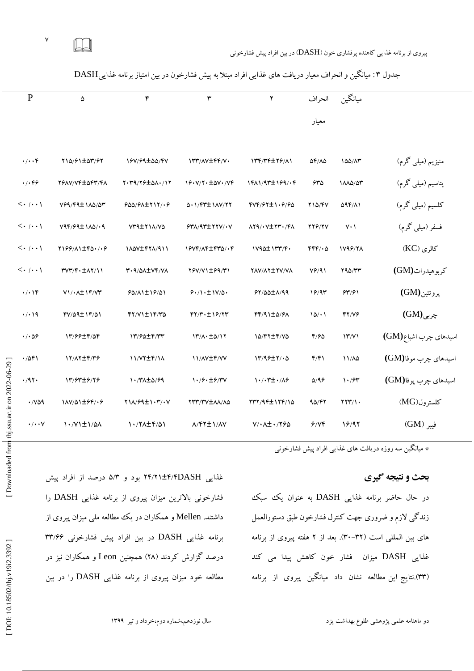$\mathsf{v}$  $\Box$ 

پیروی از برنامه غذایی کاهنده پرفشاری خون (DASH) در بین افراد پیش فشارخونی

|                                              | ${\bf P}$                        | ۵                                                                                                                                                                                                                                                                           | $\mathfrak{r}$              | $\mathbf{\breve{r}}$                      | $\mathbf Y$                                           | انحراف             | ميانگين                         |                       |  |  |
|----------------------------------------------|----------------------------------|-----------------------------------------------------------------------------------------------------------------------------------------------------------------------------------------------------------------------------------------------------------------------------|-----------------------------|-------------------------------------------|-------------------------------------------------------|--------------------|---------------------------------|-----------------------|--|--|
|                                              |                                  |                                                                                                                                                                                                                                                                             |                             |                                           |                                                       |                    |                                 |                       |  |  |
|                                              |                                  |                                                                                                                                                                                                                                                                             |                             |                                           |                                                       | معيار              |                                 |                       |  |  |
|                                              |                                  |                                                                                                                                                                                                                                                                             |                             |                                           |                                                       |                    |                                 |                       |  |  |
|                                              | $\cdot/\cdot\cdot$ ۴             | 110/91±07/97                                                                                                                                                                                                                                                                | 19V/99±00/FV                | ITT/AV±FF/V.                              | 134774479/11                                          | 54/15              | 100/17                          | منیزیم (میلی گرم)     |  |  |
| Downloaded from tbj.ssu.ac.ir on 2022-06-29] | $\cdot/\cdot$ ۴۶                 | YSAV/VF±OFT/FA                                                                                                                                                                                                                                                              | Y. M9/ Y & ± 41. / 1 Y      | $19. V/Y \cdot \pm \Delta V \cdot / VF$   | 1411/94±1691.4                                        | 630                | 1110/07                         | پتاسیم (میلی گرم)     |  |  |
|                                              |                                  | V99/F9±1A0/0٣                                                                                                                                                                                                                                                               | $900/9$ $\pm$ $\frac{1}{1}$ | 5.1/FT±1AV/77                             | FVF/97±1.9/90                                         | $Y \Omega/Y$       | <b>094/11</b>                   | كلسيم (ميلي گرم)      |  |  |
|                                              |                                  | $V4F/F4\pm1\Lambda\Delta/\cdot4$                                                                                                                                                                                                                                            | VT9±Y1A/VQ                  | $$Y\Lambda$ /9 $\Upsilon$ ±YYV/ $\cdot$ V | AY9/.V±Y۳./FA                                         | <b>779/7V</b>      | $V \cdot \Lambda$               | فسفر (میلی گرم)       |  |  |
|                                              |                                  | Y199/11760.19                                                                                                                                                                                                                                                               | 11.0V + FTA/911             | 1944/14 1970/08                           | $1V4\Delta \pm 1VV$                                   | $FFF/\cdot \Delta$ | 1798/71                         | $(KC)$ کالری          |  |  |
|                                              | $\langle\cdot\mid\cdot\mid$      | <b>٣٧٣/۴</b> · ± ٨٢/١١                                                                                                                                                                                                                                                      | T. 9/01 TVF/VA              | Y&V/V1±69/٣١                              | YAV/AY±YV/VA                                          | $V$ ۶/۹۱           | Y90/YY                          | كربوهيدرات (GM)       |  |  |
|                                              | $\cdot/\cdot$ \F                 | $V\left(\cdot \right)$ / $\left(\frac{1}{2}V\right)$                                                                                                                                                                                                                        | 90/11±19/01                 | $9.11 \cdot \pm 11/2$                     | $97/00 \pm \Lambda/99$                                | 19/91              | 54/91                           | پروتئين(GM)           |  |  |
|                                              | $\cdot/\cdot$ 19                 | FV/09±1F/01                                                                                                                                                                                                                                                                 | 77/71±14/70                 | $fY/Y \cdot \pm 19/77$                    | FF/91±0/91                                            | 10/11              | YY/Y                            | $(GM)$ چربی           |  |  |
|                                              | $\cdot$ / $\cdot$ $\Delta$ ۶     | 13/99±6/06                                                                                                                                                                                                                                                                  | 17/90±4/77                  | 1٣/٨٠ ±٥/1٢                               | 10/٣٢±۴/V۵                                            | F/FQ               | $\Upsilon''/V$                  | اسیدهای چرب اشباع(GM) |  |  |
|                                              | .7081                            | 17/17±4/٣۶                                                                                                                                                                                                                                                                  | 11/VY±F/1A                  | <b>II/AV±F/VV</b>                         | 17/99±7/.۵                                            | F/F1               | 11/10                           | اسیدهای چرب موفا(GM)  |  |  |
|                                              | $\cdot$ /9٢ $\cdot$              | 13/6476/16                                                                                                                                                                                                                                                                  | 1./٣٨±٥/۶٩                  | 1./9. ±9/۳V                               | <b>1・/・۳±・/A۶</b>                                     | $\Delta$ /96       | $\mathcal{N} \cdot \mathcal{S}$ | اسیدهای چرب پوفا(GM)  |  |  |
|                                              | $\cdot$ / $\vee$ $\circ$ $\circ$ | 1AV/01±64/.6                                                                                                                                                                                                                                                                | Y11/99±1.٣/.V               | YTT/TV±AA/AQ                              | 137/941174/10                                         | 90/42              | $YYY/\prime$                    | كلسترول(MG)           |  |  |
|                                              | $\cdot/\cdot\cdot$ Y             | 1./V1±1/۵۸                                                                                                                                                                                                                                                                  | 1./٢٨±۴/٥١                  | <b><i>A/FY ± \/AV</i></b>                 | $V/\cdot \Delta \pm \cdot / Y \cdot \Delta$           | 9/VP               | 19/97                           | فيبر (GM)             |  |  |
|                                              |                                  |                                                                                                                                                                                                                                                                             |                             |                                           | * میانگین سه روزه دریافت های غذایی افراد پیش فشارخونی |                    |                                 |                       |  |  |
|                                              |                                  |                                                                                                                                                                                                                                                                             |                             |                                           |                                                       |                    |                                 | بحث و نتیجه گیری      |  |  |
|                                              |                                  | غذایی ۲۴/۲۱±۴/۴DASH بود و ۵/۳ درصد از افراد پیش<br>$\mathbf{A}$ $\mathbf{C}$<br>and the contract of the state of the state of the state of the state of the state of the state of the state of<br>$\mathbf{D} \wedge \mathbf{C} \mathbf{H} \qquad \cdots \qquad \mathbf{G}$ |                             |                                           |                                                       |                    |                                 |                       |  |  |

جدول ٣: میانگین و انحراف معیار دریافت های غذایی افراد مبتلا به پیش فشارخون در بین امتیاز برنامه غذاییDASH

در حال حاضر برنامه غذایی DASH به عنوان یک سبک زندگی لازم و ضروری جهت كنترل فشارخون طبق دستورالعمل های بین المللی است (۳۲-۳۰). بعد از ۲ هفته پیروی از برنامه غذایی DASH میزان فشار خون کاهش پیدا می کند (۳۳).نتایج این مطالعه نشان داد میانکین پیروی از برنامه

غذایی ۴/۴/۴DASH+ بود و ۵/۳ درصد از افراد پیش فشارخونی بالاترین میزان پیروی از برنامه غذایی DASH را داشتند. Mellen و همکاران در یک مطالعه ملی میزان پیروی از برنامه غذایی DASH در بین افراد پیش فشارخونی ۳۳/۶۶ درصد گزارش کردند (۲۸) همچنین Leon و همکاران نیز در مطالعه خود میزان پیروی از برنامه غذایی DASH را در بین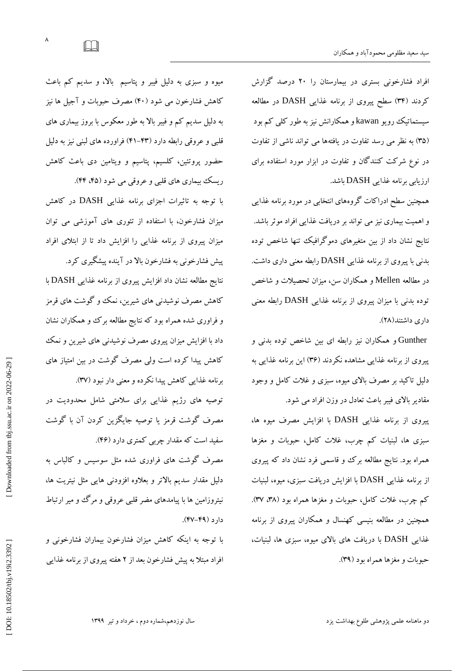افراد فشارخونی بستری در بیمارستان را ۲۰ درصد گزارش کردند (۳۴) سطح پیروی از برنامه غذایی DASH در مطالعه سیستماتیک رویو kawan و همکارانش نیز به طور کلی کم بود (۳۵) به نظر می رسد تفاوت در یافتهها می تواند ناشی از تفاوت در نوع شرکت کنندگان و تفاوت در ابزار مورد استفاده برای ارزیابی برنامه غذایی DASH باشد.

همچنین سطح ادراکات گروههای انتخابی در مورد برنامه غذایی و اهمیت بیماری نیز می تواند بر دریافت غذایی افراد موثر باشد. نتايج نشان داد از بين متغیرهای دموگرافیک تنها شاخص توده بدنی با پیروی از برنامه غذایی DASH رابطه معنی داری داشت. در مطالعه Mellen و همکاران سن، میزان تحصیلات و شاخص توده بدنی با میزان پیروی از برنامه غذایی DASH رابطه معنی<br>داری داشتند(۲۸).

Gunther و همکاران نیز رابطه ای بین شاخص توده بدنی و پیروی از برنامه غذایی مشّاهده نکردند (۳۶) این برنامه غذایی به دلیل تاکید بر مصرف بالای میوه، سبزی و غلات کامل و وجود مقادیر بالای فیبر باعث تعادل در وزن افراد می شود.

پیروی از برنامه غذایی DASH با افزایش مصرف میوه ها، سبزی ها، لبنیات کم چرب، غلات کامل، حبوبات و مغزها همراه بود. نتایجِ مطالعه برک وو قاسمی فرد نشان داد که پیروی از برنامه غذایی DASH با افزایش دریافت سبزی، میوه، لبنیات کم چرب، غلات کامل، حبوبات و مغزها همراه بود (۳۸، ۳۷). همچنین در مطالعه بنیسی کهنسال و همکاران پیروی از برنامه غذایی DASH ثب دریبفت ّبی ثبالی هی،َُ عجشی ّب، لجٌیبت، حبوبات و مغزها همراه بود (۳۹).

میوه و سبزی به دلیل فیبر و پتاسیم بالا، و سدیم کم باعث کاهش فشارخون می شود (۴۰) مصرف حبوبات و آجیل ها نیز به دلیل سدیم کم و فیبر بالا به طور معکوس با بروز بیماری های قلبی و عروقی رابطه دارد (۴۳–۴۱) فراورده های لبنی نیز به دلیل حضور پروتئین، کلسیم، پتاسیم و ویتامین دی باعث کاهش ریسک بیماری های قلبی و عروقی می شود (۴۵، ۴۴).

با توجه به تاثیرات اجزای برنامه غذایی DASH در کاهش میزان فشارخون، با استفاده از تئوری های آموزشی می توان میزان پیروی از برنامه غذایی را افزایش داد تا از ابتلای افراد

پیش فشارخونی به فشارخون بالا در آینده پیشگیری کرد. نتایج مطالعه نشان داد افزایش پیروی از برنامه غذایی DASH با کاهش مصرف نوشیدنی های شیرین، نمک و گوشت های قرمز و فراوری شده همراه بود که نتایج مطالعه برک و همکاران نشان داد با افزایش میزان پیروی مصرف نوشیدنی های شیرین و نمک کاهش پیدا کرده است ولی مصرف گوشت در بین امتیاز های برنامه غذایی کاهش پیدا نکرده و معنی دار نبود (۳۷).

توصیه های رژیم غذایی برای سلامتی شامل محدودیت در مصرف گوشت قرمز یا توصیه جایگزین کردن آن با گوشت سفید است که مقدار چربی کمتری دارد (۴۶).

مصرف گوشت های فراوری شده مثل سوسیس و کالباس به دلیل مقدار سدیم بالاتر و بعلاوه افزودنی هایی مثل نیتریت ها، نیتروزامین ها با پیامدهای مضر قلبی عروقی و مرگ و میر ارتباط دارد (۴۹–۴۷).

با توجه به اینکه کاهش میزان فشارخون بیماران فشارخونی و افراد مبتلاً به پیش فشارخون بعد از ۲ هفته پیروی از برنامه غدایی

 $\pmb{\wedge}$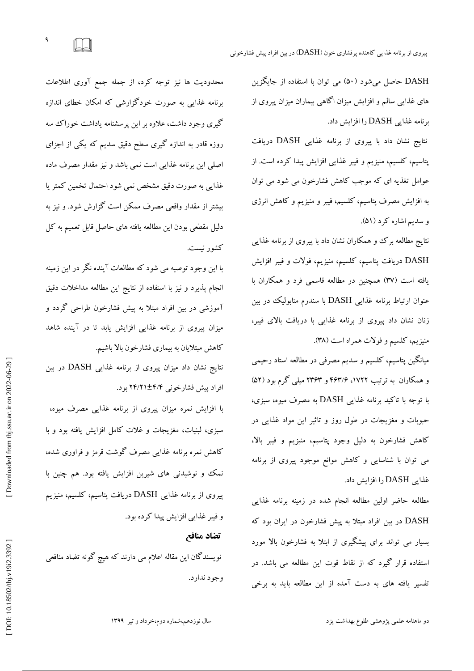DASH حاصل میشود (۵۰) می توان با استفاده از جایگزین های غذایی سالم و افزایش میزان اگاهی بیماران میزان پیروی از برنامه غذایی DASH را افزایش داد.

نتایج نشان داد با پیروی از برنامه غذایی DASH دریافت پتاسیم، کلسیم، منیزیم و فیبر غذایی افزایش پیدا کرده است. از عوامل تغذیه ای که موجب کاهش فشارخون می شود می توان به افزایش مصرف پتاسیم، کلسیم، فیبر و منیزیم و کاهش انرژی<br>و سدیم اشاره کرد (۵۱).

نتایج مطالعه برک وه مکاران نشان داد با پیروی از برنامه غذایی DASH دریافت پتاسیم، کلسیم، منیزیم، فولات و فیبر افزایش یافته است (٣٧) همچنین در مطالعه قاسمی فرد و همکاران با عنوان ارتباط برنامه غذایی DASH با سندرم متابولیک در بین زنان نشان داد پیروی از برنامه غذایی با دریافت بالای فیبر، منیزیم، کلسیم و فولات همراه است (۳۸).

میانگین پتاسیم، کلسیم و سدیم مصرفی در مطالعه استاد رحیمی و همکاران به ترتیب ۱۷۲۲، ۱۷۴۶ و ۲۳۶۳ میلی کرم بود (۵۲) با توجه با تاکید برنامه غذایی DASH به مصرف میوه، سبزی، حبوبات و مغزیجات در طول روز و تاثیر این مواد غذایی در كاهش فشارخون به دلیل وجود پتاسیم، منیزیم و فیبر بالا، می توان با شناسایی و کاهش موانع موجود پیروی از برنامه غذایی DASH را افزایش داد.

مطالعه حاضر اولین مطالعه انجام شده در زمینه برنامه غذایی DASH در بین افراد مبتلا به پیش فشارخون در ایران بود که بسیار می تواند برای پیشگیری از ابتلا به فشارخون بالا مورد استفاده قرار گیرد که از نقاط قوت این مطالعه می باشد. در تفسیر یافته های به دست آمده از این مطالعه باید به برخی

محدودیت ها نیز توجه کرد، از جمله جمع آوری اطلاعات برنامه غذایی به صورت خودگزارشی که امکان خطای اندازه گیری وجود داشت، علاوه بر این پرسشنامه یاداشت خوراک سه روزه قادر به اندازه گیری سطح دقیق سدیم که یکی از اجزای اصلی این برنامه غذایی است نمی باشد و نیز مقدار مصرف ماده غذایی به صورت دقیق مشخص نمی شود احتمال تخمین كمتر یا بیشتر از مقدار واقعی مصرف ممکن است گزارش شود. و نیز به دلیل مقطعی بودن این مطالعه یافته های حاصل قابل تعمیم به کل کشور نیست.

۹

 $\Box$ 

با این وجود توصیه می شود که مطالعات آینده نگر در این زمینه انجام پذیرد و نیز با استفاده از نتایج این مطالعه مداخلات دقیق آموزشی در بین افراد مبتلا به پیش فشارخون طراحی گردد و میزان پیروی از برنامه غذایی افزایش یابد تا در آینده شاهد كاهش مبتلایان به بیماری فشارخون بالا باشیم.

نتايج نشان داد میزان پیروی از برنامه غذایی DASH در بین افراد پیش فشارخونی ۲۴/۲۱±۴/۲ بود.

با افزایش نمره میزان پیروی از برنامه غذایی مصرف میوه، سبزی، لبنیات، مغزیجات و غلات کامل افزایش یافته بود و با کاهش نمره برنامه غذایی مصرف گوشت قرمز و فراوری شده، نمک و نوشیدنی های شیرین افزایش یافته بود. هم چنین با پیروی از برنامه غذایی DASH دریافت پتاسیم، کلسیم، منیزیم و فیبر غذایی افزایش پیدا کرده بود.

# **تضاد مىافع**

نویسندگان این مقاله اعلام می دارند که هیچ گونه تضاد منافعی وجود ندارد.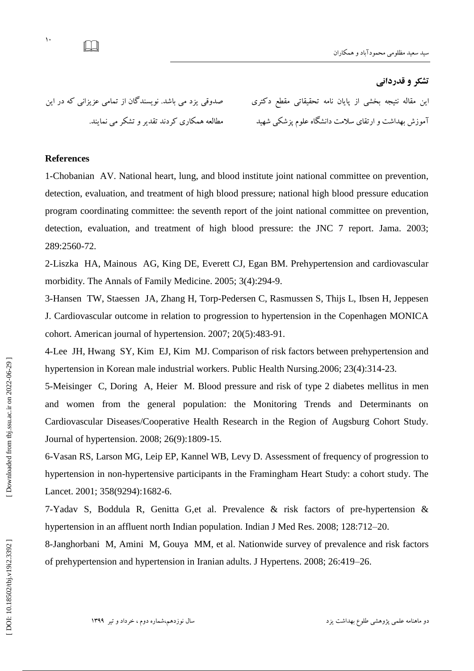# **تطکز ي قدرداوی**

این مقاله نتیجه بخشی از پایان نامه تحقیقاتی مقطع دکتری صدوقی یزد می باشد. نویسند کان از تمامی عزیزانی که در این

اموزش بهداشت و ارتقای سلامت دانشکاه علوم پزشکی شهید مسلم عالمه همکاری کردند تقدیر و تشکر می نمایند.

### **References**

 $\mathcal{N}$ 

LU

1-Chobanian AV. National heart, lung, and blood institute joint national committee on prevention, detection, evaluation, and treatment of high blood pressure; national high blood pressure education program coordinating committee: the seventh report of the joint national committee on prevention, detection, evaluation, and treatment of high blood pressure: the JNC 7 report. Jama. 2003; 289:2560 -72.

2 -Liszka HA, Mainous AG, King DE, Everett CJ, Egan BM. Prehypertension and cardiovascular morbidity. The Annals of Family Medicine. 2005; 3(4):294 -9.

3 -Hansen TW, Staessen JA, Zhang H, Torp -Pedersen C, Rasmussen S, Thijs L, Ibsen H, Jeppesen J. Cardiovascular outcome in relation to progression to hypertension in the Copenhagen MONICA cohort. American journal of hypertension. 2007; 20(5):483 -91.

4 -Lee JH, Hwang SY, Kim EJ, Kim MJ. Comparison of risk factors between prehypertension and hypertension in Korean male industrial workers. Public Health Nursing.2006; 23(4):314 -23.

5 -Meisinger C, D oring A, Heier M. Blood pressure and risk of type 2 diabetes mellitus in men and women from the general population: the Monitoring Trends and Determinants on Cardiovascular Diseases/Cooperative Health Research in the Region of Augsburg Cohort Study. Journal of hypertension. 2008; 26(9):1809 -15.

6 -Vasan RS, Larson MG, Leip EP, Kannel WB, Levy D. Assessment of frequency of progression to hypertension in non-hypertensive participants in the Framingham Heart Study: a cohort study. The Lancet. 2001; 358(9294):1682 -6.

7 -Yadav S, Boddula R, Genitta G,et al. Prevalence & risk factors of pre -hypertension & hypertension in an affluent north Indian population. Indian J Med Res. 2008; 128:712 –20.

8 -Janghorbani M, Amini M, Gouya MM, et al. Nationwide survey of prevalence and risk factors of prehypertension and hypertension in Iranian adults. J Hypertens. 2008; 26:419 –26.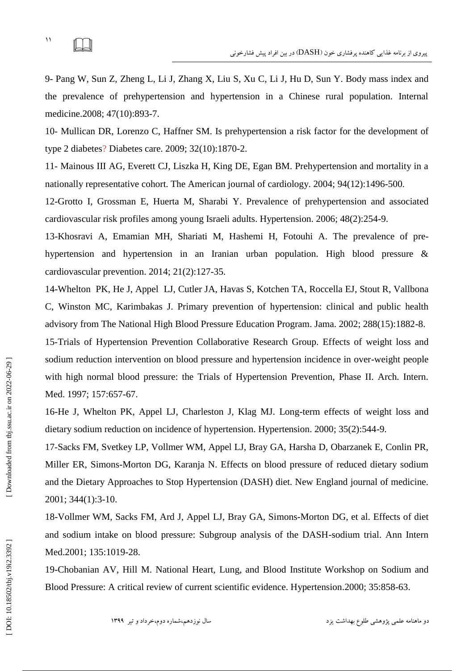# $\Box$

11

9 - Pang W, Sun Z, Zheng L, Li J, Zhang X, Liu S, Xu C, Li J, Hu D, Sun Y. Body mass index and the prevalence of prehypertension and hypertension in a Chinese rural population. Internal medicine .2008; 47(10):893 -7.

10 - Mullican DR, Lorenzo C, Haffner SM. Is prehypertension a risk factor for the development of type 2 diabetes ? Diabetes care. 2009; 32(10):1870 -2.

11 - Mainous III AG, Everett CJ, Liszka H, King DE, Egan BM. Prehypertension and mortality in a nationally representative cohort. The American journal of cardiology. 2004; 94(12):1496 -500.

12 -Grotto I, Grossman E, Huerta M, Sharabi Y. Prevalence of prehypertension and associated cardiovascular risk profiles among young Israeli adults. Hypertension. 2006; 48(2):254 -9.

13 -Khosravi A, Emamian MH, Shariati M, Hashemi H, Fotouhi A. The prevalence of pre hypertension and hypertension in an Iranian urban population. High blood pressure & cardiovascular prevention. 2014; 21(2):127 -35.

14 -Whelton PK, He J, Appel LJ, Cutler JA, Havas S, Kotchen TA, Roccella EJ, Stout R, Vallbona C, Winston MC, Karimbakas J. Primary prevention of hypertension: clinical and public health advisory from The National High Blood Pressure Education Program. Jama. 2002; 288(15):1882 -8.

15 -Trials of Hypertension Prevention Collaborative Research Group. Effects of weight loss and sodium reduction intervention on blood pressure and hypertension incidence in over -weight people with high normal blood pressure: the Trials of Hypertension Prevention, Phase II. Arch. Intern. Med. 1997; 157:657-67.

16 -He J, Whelton PK, Appel LJ, Charleston J, Klag MJ. Long -term effects of weight loss and dietary sodium reduction on incidence of hypertension. Hypertension. 2000; 35(2):544 -9.

17 -Sacks FM, Svetkey LP, Vollmer WM, Appel LJ, Bray GA, Harsha D, Obarzanek E, Conlin PR, Miller ER, Simons -Morton DG, Karanja N. Effects on blood pressure of reduced dietary sodium and the Dietary Approaches to Stop Hypertension (DASH) diet. New England journal of medicine. 2001; 344(1):3 -10.

18 -Vollmer WM, Sacks FM, Ard J, Appel LJ, Bray GA, Simons -Morton DG, et al. Effects of diet and sodium intake on blood pressure: Subgroup analysis of the DASH -sodium trial. Ann Intern Med.2001; 135:1019-28.

19 -Chobanian AV, Hill M. National Heart, Lung, and Blood Institute Workshop on Sodium and Blood Pressure: A critical review of current scientific evidence. Hypertension .2000; 35:858 -63.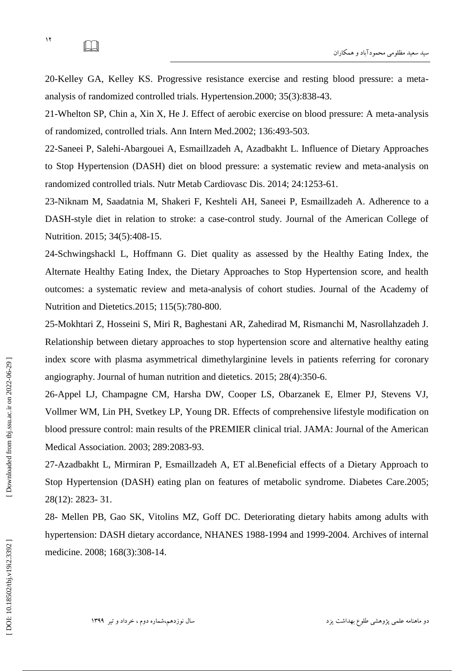20 -Kelley GA, Kelley KS. Progressive resistance exercise and resting blood pressure: a meta analysis of randomized controlled trials. Hypertension.2000; 35(3):838 -43.

21 -Whelton SP, Chin a, Xin X, He J. Effect of aerobic exercise on blood pressure: A meta -analysis of randomized, controlled trials. Ann Intern Med .2002; 136:493 -503.

22 -Saneei P, Salehi -Abargouei A, Esmaillzadeh A, Azadbakht L. Influence of Dietary Approaches to Stop Hypertension (DASH) diet on blood pressure: a systematic review and meta -analysis on randomized controlled trials. Nutr Metab Cardiovasc Dis. 2014; 24:1253 -61.

23 -Niknam M, Saadatnia M, Shakeri F, Keshteli AH, Saneei P, Esmaillzadeh A. Adherence to a DASH -style diet in relation to stroke: a case -control study. Journal of the American College of Nutrition. 2015; 34(5):408 -15.

24 -Schwingshackl L, Hoffmann G. Diet quality as assessed by the Healthy Eating Index, the Alternate Healthy Eating Index, the Dietary Approaches to Stop Hypertension score, and health outcomes: a systematic review and meta -analysis of cohort studies. Journal of the Academy of Nutrition and Dietetics.2015; 115(5):780 -800.

25 -Mokhtari Z, Hosseini S, Miri R, Baghestani AR, Zahedirad M, Rismanchi M, Nasrollahzadeh J. Relationship between dietary approaches to stop hypertension score and alternative healthy eating index score with plasma asymmetrical dimethylarginine levels in patients referring for coronary angiography. Journal of human nutrition and dietetics. 2015; 28(4):350 -6.

26 -Appel LJ, Champagne CM, Harsha DW, Cooper LS, Obarzanek E, Elmer PJ, Stevens VJ, Vollmer WM, Lin PH, Svetkey LP, Young DR. Effects of comprehensive lifestyle modification on blood pressure control: main results of the PREMIER clinical trial. JAMA: Journal of the American Medical Association. 2003; 289:2083 -93.

27 -Azadbakht L, Mirmiran P, Esmaillzadeh A, ET al.Beneficial effects of a Dietary Approach to Stop Hypertension (DASH) eating plan on features of metabolic syndrome. Diabetes Care .2005; 28(12): 2823 - 31.

28 - Mellen PB, Gao SK, Vitolins MZ, Goff DC. Deteriorating dietary habits among adults with hypertension: DASH dietary accordance, NHANES 1988 -1994 and 1999 -2004. Archives of internal medicine. 2008; 168(3):308 -14.

IJ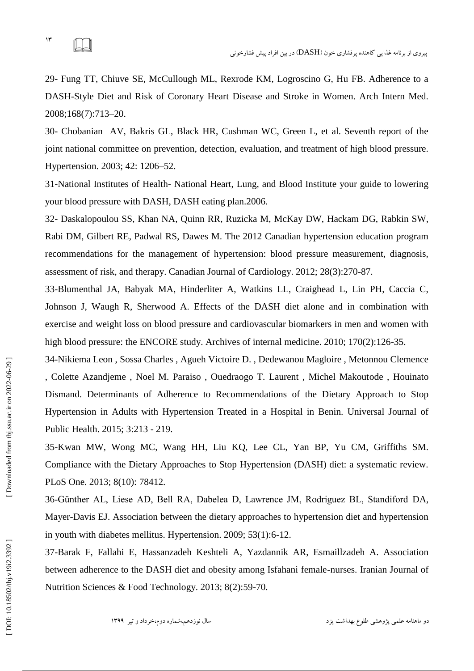$\mathcal{N}$  $\Box$ 

29 - Fung TT, Chiuve SE, McCullough ML, Rexrode KM, Logroscino G, Hu FB. Adherence to a DASH -Style Diet and Risk of Coronary Heart Disease and Stroke in Women. Arch Intern Med. 2008;168(7):713 –20 .

30 - Chobanian AV, Bakris GL, Black HR, Cushman WC, Green L, et al. Seventh report of the joint national committee on prevention, detection, evaluation, and treatment of high blood pressure. Hypertension. 2003; 42: 1206 –52.

31 -National Institutes of Health - National Heart, Lung, and Blood Institute your guide to lowering your blood pressure with DASH, DASH eating plan.2006.

32 - Daskalopoulou SS, Khan NA, Quinn RR, Ruzicka M, McKay DW, Hackam DG, Rabkin SW, Rabi DM, Gilbert RE, Padwal RS, Dawes M. The 2012 Canadian hypertension education program recommendations for the management of hypertension: blood pressure measurement, diagnosis, assessment of risk, and therapy. Canadian Journal of Cardiology. 2012; 28(3):270 -87.

33 -Blumenthal JA, Babyak MA, Hinderliter A, Watkins LL, Craighead L, Lin PH, Caccia C, Johnson J, Waugh R, Sherwood A. Effects of the DASH diet alone and in combination with exercise and weight loss on blood pressure and cardiovascular biomarkers in men and women with high blood pressure: the ENCORE study. Archives of internal medicine. 2010; 170(2):126-35.

34 -Nikiema Leon , Sossa Charles , Agueh Victoire D. , Dedewanou Magloire , Metonnou Clemence , Colette Azandjeme , Noel M. Paraiso , Ouedraogo T. Laurent , Michel Makoutode , Houinato Dismand. Determinants of Adherence to Recommendations of the Dietary Approach to Stop Hypertension in Adults with Hypertension Treated in a Hospital in Benin. Universal Journal of Public Health. 2015; 3 :213 - 219.

35 -Kwan MW, Wong MC, Wang HH, Liu KQ, Lee CL, Yan BP, Yu CM, Griffiths SM. Compliance with the Dietary Approaches to Stop Hypertension (DASH) diet: a systematic review. PLoS One. 2013; 8(10): 78412.

36-Günther AL, Liese AD, Bell RA, Dabelea D, Lawrence JM, Rodriguez BL, Standiford DA, Mayer -Davis EJ. Association between the dietary approaches to hypertension diet and hypertension in youth with diabetes mellitus. Hypertension. 2009; 53(1):6 -12.

37 -Barak F, Fallahi E, Hassanzadeh Keshteli A, Yazdannik AR, Esmaillzadeh A. Association between adherence to the DASH diet and obesity among Isfahani female -nurses. Iranian Journal of Nutrition Sciences & Food Technology. 2013; 8(2):59 -70.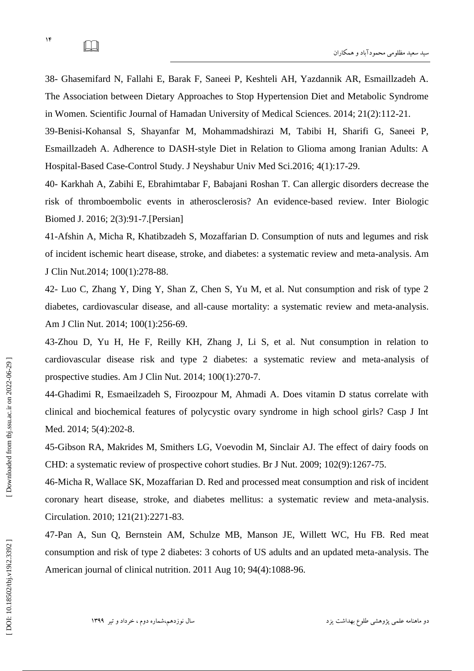$\mathcal{N}$ 

38 - Ghasemifard N, Fallahi E, Barak F, Saneei P, Keshteli AH, Yazdannik AR, Esmaillzadeh A. The Association between Dietary Approaches to Stop Hypertension Diet and Metabolic Syndrome in Women. Scientific Journal of Hamadan University of Medical Sciences. 2014; 21(2):112 -21.

39 -Benisi -Kohansal S, Shayanfar M, Mohammadshirazi M, Tabibi H, Sharifi G, Saneei P, Esmaillzadeh A. Adherence to DASH -style Diet in Relation to Glioma among Iranian Adults: A Hospital -Based Case -Control Study. J Neyshabur Univ Med Sci.2016; 4(1):17 -29.

40 - Karkhah A, Zabihi E, Ebrahimtabar F, Babajani Roshan T. Can allergic disorders decrease the risk of thromboembolic events in atherosclerosis? An evidence -based review. Inter Biologic Biomed J. 2016; 2(3):91 -7.[Persian]

41 -Afshin A, Micha R, Khatibzadeh S, Mozaffarian D. Consumption of nuts and legumes and risk of incident ischemic heart disease, stroke, and diabetes: a systematic review and meta -analysis. Am J Clin Nut.2014; 100(1):278 -88.

42 - Luo C, Zhang Y, Ding Y, Shan Z, Chen S, Yu M, et al. Nut consumption and risk of type 2 diabetes, cardiovascular disease, and all -cause mortality: a systematic review and meta -analysis. Am J Clin Nut. 2014; 100(1):256 -69.

43 -Zhou D, Yu H, He F, Reilly KH, Zhang J, Li S, et al. Nut consumption in relation to cardiovascular disease risk and type 2 diabetes: a systematic review and meta -analysis of prospective studies. Am J Clin Nut. 2014; 100(1):270 -7.

44 -Ghadimi R, Esmaeilzadeh S, Firoozpour M, Ahmadi A. Does vitamin D status correlate with clinical and biochemical features of polycystic ovary syndrome in high school girls? Casp J Int Med. 2014; 5(4):202-8.

45 -Gibson RA, Makrides M, Smithers LG, Voevodin M, Sinclair AJ. The effect of dairy foods on CHD: a systematic review of prospective cohort studies. Br J Nut. 2009; 102(9):1267 -75.

46 -Micha R, Wallace SK, Mozaffarian D. Red and processed meat consumption and risk of incident coronary heart disease, stroke, and diabetes mellitus: a systematic review and meta -analysis. Circulation. 2010; 121(21):2271 -83.

47 -Pan A, Sun Q, Bernstein AM, Schulze MB, Manson JE, Willett WC, Hu FB. Red meat consumption and risk of type 2 diabetes: 3 cohorts of US adults and an updated meta -analysis. The American journal of clinical nutrition. 2011 Aug 10; 94(4):1088 -96.